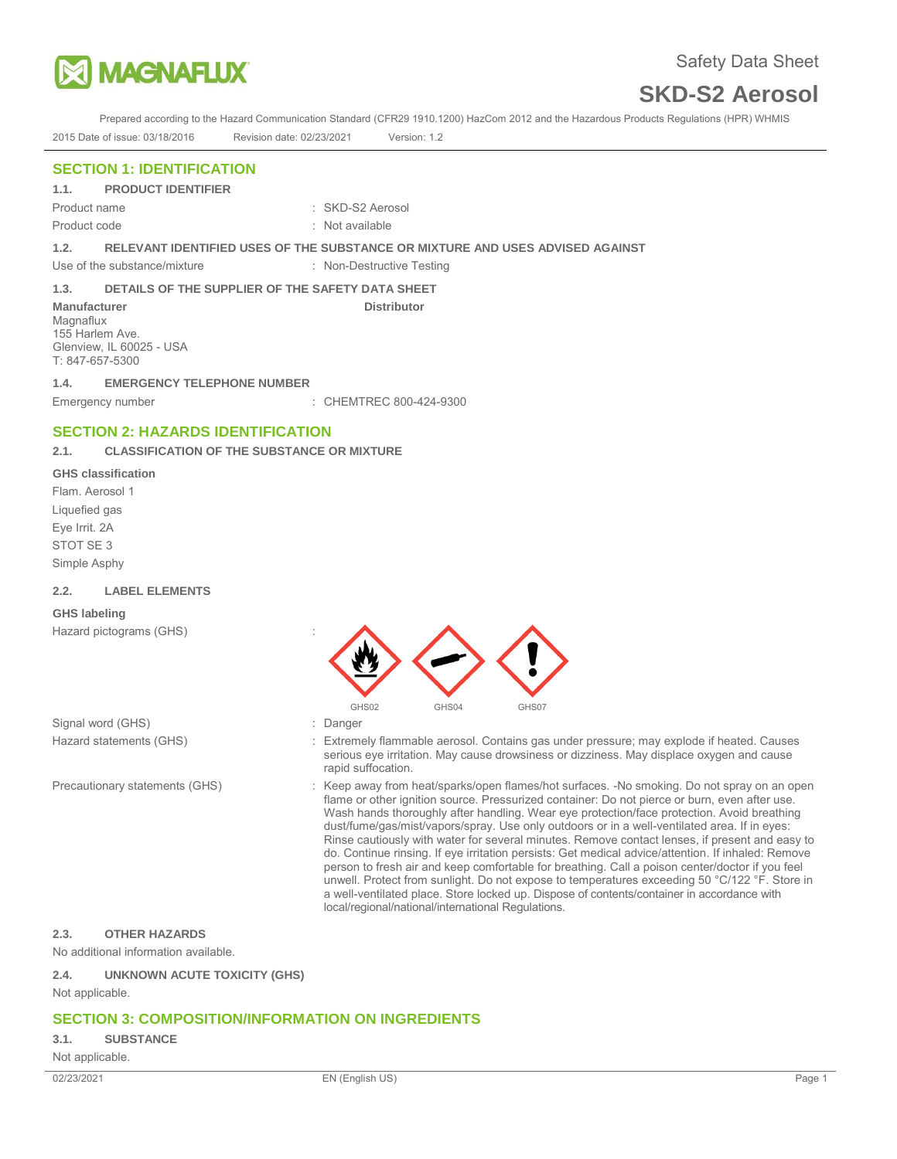

Prepared according to the Hazard Communication Standard (CFR29 1910.1200) HazCom 2012 and the Hazardous Products Regulations (HPR) WHMIS 2015 Date of issue: 03/18/2016 Revision date: 02/23/2021 Version: 1.2

# **SECTION 1: IDENTIFICATION**

**1.1. PRODUCT IDENTIFIER** 

Product code : Not available

Product name : SKD-S2 Aerosol

**1.2. RELEVANT IDENTIFIED USES OF THE SUBSTANCE OR MIXTURE AND USES ADVISED AGAINST** 

Use of the substance/mixture : Non-Destructive Testing

## **1.3. DETAILS OF THE SUPPLIER OF THE SAFETY DATA SHEET**

**Manufacturer Community Community Community Community Distributor** Distributor Magnaflux 155 Harlem Ave. Glenview, IL 60025 - USA T: 847-657-5300

# **1.4. EMERGENCY TELEPHONE NUMBER**

Emergency number : CHEMTREC 800-424-9300

# **SECTION 2: HAZARDS IDENTIFICATION**

# **2.1. CLASSIFICATION OF THE SUBSTANCE OR MIXTURE**

#### **GHS classification**

Flam. Aerosol 1 Liquefied gas Eye Irrit. 2A STOT SE 3 Simple Asphy

#### **2.2. LABEL ELEMENTS**

#### **GHS labeling**

Hazard pictograms (GHS) :



- Signal word (GHS)  $\qquad \qquad$ : Danger
- 

- Hazard statements (GHS) : Extremely flammable aerosol. Contains gas under pressure; may explode if heated. Causes serious eye irritation. May cause drowsiness or dizziness. May displace oxygen and cause rapid suffocation.
- Precautionary statements (GHS) : Keep away from heat/sparks/open flames/hot surfaces. -No smoking. Do not spray on an open flame or other ignition source. Pressurized container: Do not pierce or burn, even after use. Wash hands thoroughly after handling. Wear eye protection/face protection. Avoid breathing dust/fume/gas/mist/vapors/spray. Use only outdoors or in a well-ventilated area. If in eyes: Rinse cautiously with water for several minutes. Remove contact lenses, if present and easy to do. Continue rinsing. If eye irritation persists: Get medical advice/attention. If inhaled: Remove person to fresh air and keep comfortable for breathing. Call a poison center/doctor if you feel unwell. Protect from sunlight. Do not expose to temperatures exceeding 50 °C/122 °F. Store in a well-ventilated place. Store locked up. Dispose of contents/container in accordance with local/regional/national/international Regulations.

## **2.3. OTHER HAZARDS**

No additional information available.

## **2.4. UNKNOWN ACUTE TOXICITY (GHS)**

Not applicable.

# **SECTION 3: COMPOSITION/INFORMATION ON INGREDIENTS**

#### **3.1. SUBSTANCE**

Not applicable.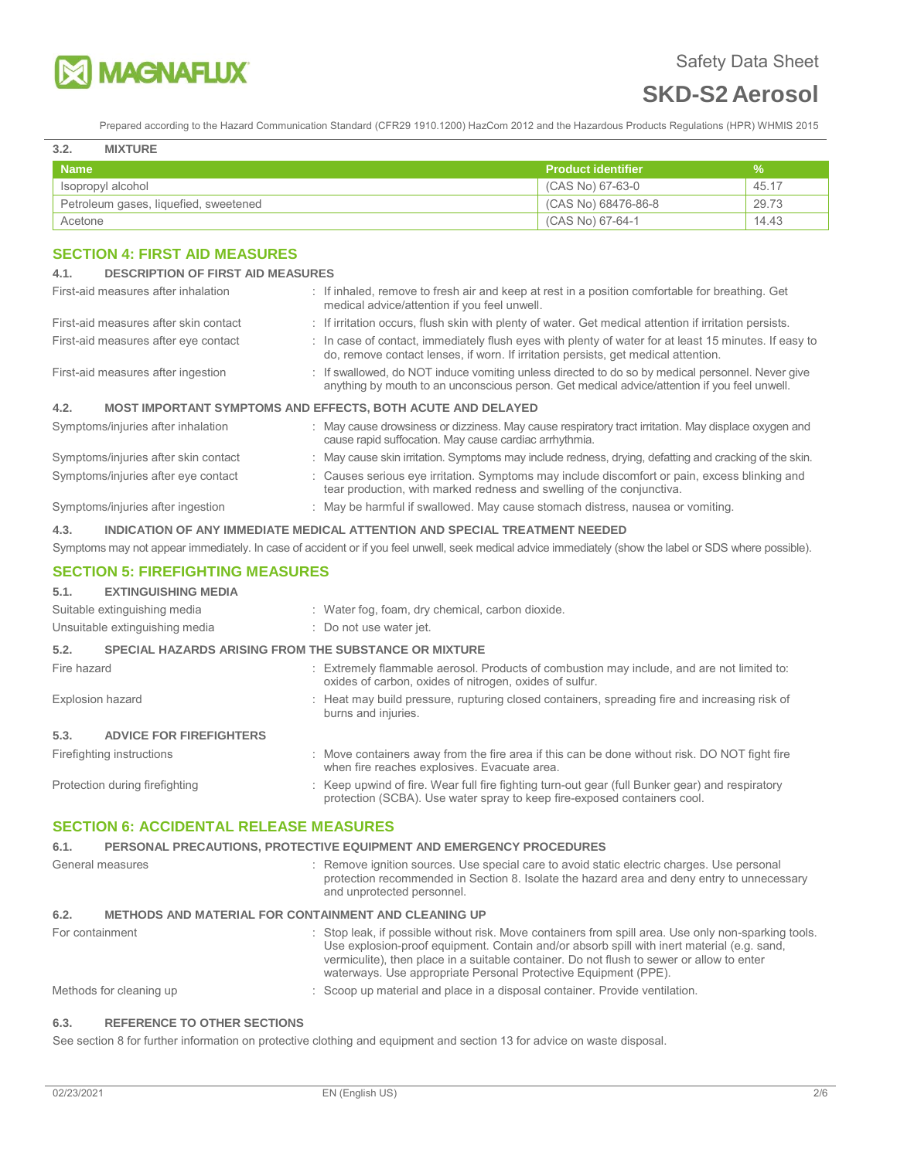

Prepared according to the Hazard Communication Standard (CFR29 1910.1200) HazCom 2012 and the Hazardous Products Regulations (HPR) WHMIS 2015

#### **3.2. MIXTURE**

| <b>Name</b>                           | Product identifier  | V.    |
|---------------------------------------|---------------------|-------|
| Isopropyl alcohol                     | (CAS No) 67-63-0    | 45.17 |
| Petroleum gases, liquefied, sweetened | (CAS No) 68476-86-8 | 29.73 |
| Acetone                               | (CAS No) 67-64-1    | 14.43 |

# **SECTION 4: FIRST AID MEASURES**

| <b>DESCRIPTION OF FIRST AID MEASURES</b><br>4.1.                                   |                                                                                                                                                                                                  |  |  |
|------------------------------------------------------------------------------------|--------------------------------------------------------------------------------------------------------------------------------------------------------------------------------------------------|--|--|
| First-aid measures after inhalation                                                | : If inhaled, remove to fresh air and keep at rest in a position comfortable for breathing. Get<br>medical advice/attention if you feel unwell.                                                  |  |  |
| First-aid measures after skin contact                                              | : If irritation occurs, flush skin with plenty of water. Get medical attention if irritation persists.                                                                                           |  |  |
| First-aid measures after eye contact                                               | : In case of contact, immediately flush eyes with plenty of water for at least 15 minutes. If easy to<br>do, remove contact lenses, if worn. If irritation persists, get medical attention.      |  |  |
| First-aid measures after ingestion                                                 | : If swallowed, do NOT induce vomiting unless directed to do so by medical personnel. Never give<br>anything by mouth to an unconscious person. Get medical advice/attention if you feel unwell. |  |  |
| <b>MOST IMPORTANT SYMPTOMS AND EFFECTS, BOTH ACUTE AND DELAYED</b><br>4.2.         |                                                                                                                                                                                                  |  |  |
| Symptoms/injuries after inhalation                                                 | : May cause drowsiness or dizziness. May cause respiratory tract irritation. May displace oxygen and<br>cause rapid suffocation. May cause cardiac arrhythmia.                                   |  |  |
| Symptoms/injuries after skin contact                                               | : May cause skin irritation. Symptoms may include redness, drying, defatting and cracking of the skin.                                                                                           |  |  |
| Symptoms/injuries after eye contact                                                | : Causes serious eye irritation. Symptoms may include discomfort or pain, excess blinking and<br>tear production, with marked redness and swelling of the conjunctiva.                           |  |  |
| Symptoms/injuries after ingestion                                                  | : May be harmful if swallowed. May cause stomach distress, nausea or vomiting.                                                                                                                   |  |  |
| 4.3.<br>INDICATION OF ANY IMMEDIATE MEDICAL ATTENTION AND SPECIAL TREATMENT NEEDED |                                                                                                                                                                                                  |  |  |

Symptoms may not appear immediately. In case of accident or if you feel unwell, seek medical advice immediately (show the label or SDS where possible).

## **SECTION 5: FIREFIGHTING MEASURES**

# **5.1. EXTINGUISHING MEDIA**

|                         | Suitable extinguishing media                                 |  | : Water fog, foam, dry chemical, carbon dioxide.                                                                                                                            |
|-------------------------|--------------------------------------------------------------|--|-----------------------------------------------------------------------------------------------------------------------------------------------------------------------------|
|                         | Unsuitable extinguishing media                               |  | : Do not use water jet.                                                                                                                                                     |
| 5.2.                    | <b>SPECIAL HAZARDS ARISING FROM THE SUBSTANCE OR MIXTURE</b> |  |                                                                                                                                                                             |
| Fire hazard             |                                                              |  | : Extremely flammable aerosol. Products of combustion may include, and are not limited to:<br>oxides of carbon, oxides of nitrogen, oxides of sulfur.                       |
| <b>Explosion hazard</b> |                                                              |  | : Heat may build pressure, rupturing closed containers, spreading fire and increasing risk of<br>burns and injuries.                                                        |
| 5.3.                    | <b>ADVICE FOR FIREFIGHTERS</b>                               |  |                                                                                                                                                                             |
|                         | Firefighting instructions                                    |  | : Move containers away from the fire area if this can be done without risk. DO NOT fight fire<br>when fire reaches explosives. Evacuate area.                               |
|                         | Protection during firefighting                               |  | : Keep upwind of fire. Wear full fire fighting turn-out gear (full Bunker gear) and respiratory<br>protection (SCBA). Use water spray to keep fire-exposed containers cool. |

# **SECTION 6: ACCIDENTAL RELEASE MEASURES**

## **6.1. PERSONAL PRECAUTIONS, PROTECTIVE EQUIPMENT AND EMERGENCY PROCEDURES**  General measures **interpretation** : Remove ignition sources. Use special care to avoid static electric charges. Use personal protection recommended in Section 8. Isolate the hazard area and deny entry to unnecessary and unprotected personnel. **6.2. METHODS AND MATERIAL FOR CONTAINMENT AND CLEANING UP**  For containment **interpret and the state of the Stop leak**, if possible without risk. Move containers from spill area. Use only non-sparking tools. Use explosion-proof equipment. Contain and/or absorb spill with inert material (e.g. sand, vermiculite), then place in a suitable container. Do not flush to sewer or allow to enter waterways. Use appropriate Personal Protective Equipment (PPE). Methods for cleaning up  $\qquad \qquad$ : Scoop up material and place in a disposal container. Provide ventilation.

#### **6.3. REFERENCE TO OTHER SECTIONS**

See section 8 for further information on protective clothing and equipment and section 13 for advice on waste disposal.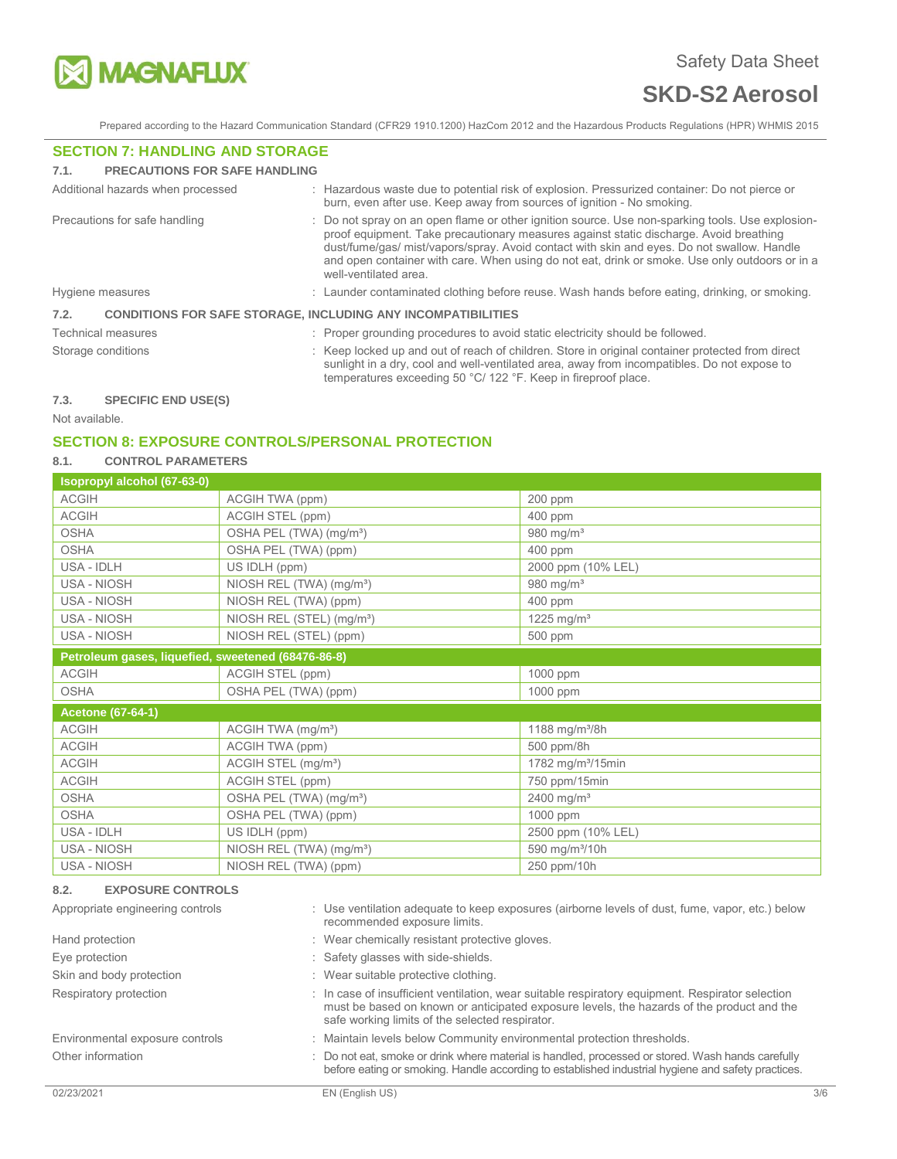

Prepared according to the Hazard Communication Standard (CFR29 1910.1200) HazCom 2012 and the Hazardous Products Regulations (HPR) WHMIS 2015

### **SECTION 7: HANDLING AND STORAGE**

#### **7.1. PRECAUTIONS FOR SAFE HANDLING**

|                    | Additional hazards when processed                                   |  | : Hazardous waste due to potential risk of explosion. Pressurized container: Do not pierce or<br>burn, even after use. Keep away from sources of ignition - No smoking.                                                                                                                                                                                                                                           |
|--------------------|---------------------------------------------------------------------|--|-------------------------------------------------------------------------------------------------------------------------------------------------------------------------------------------------------------------------------------------------------------------------------------------------------------------------------------------------------------------------------------------------------------------|
|                    | Precautions for safe handling                                       |  | Do not spray on an open flame or other ignition source. Use non-sparking tools. Use explosion-<br>proof equipment. Take precautionary measures against static discharge. Avoid breathing<br>dust/fume/gas/ mist/vapors/spray. Avoid contact with skin and eyes. Do not swallow. Handle<br>and open container with care. When using do not eat, drink or smoke. Use only outdoors or in a<br>well-ventilated area. |
| Hygiene measures   |                                                                     |  | : Launder contaminated clothing before reuse. Wash hands before eating, drinking, or smoking.                                                                                                                                                                                                                                                                                                                     |
| 7.2.               | <b>CONDITIONS FOR SAFE STORAGE, INCLUDING ANY INCOMPATIBILITIES</b> |  |                                                                                                                                                                                                                                                                                                                                                                                                                   |
|                    | <b>Technical measures</b>                                           |  | : Proper grounding procedures to avoid static electricity should be followed.                                                                                                                                                                                                                                                                                                                                     |
| Storage conditions |                                                                     |  | : Keep locked up and out of reach of children. Store in original container protected from direct<br>sunlight in a dry, cool and well-ventilated area, away from incompatibles. Do not expose to<br>temperatures exceeding 50 °C/ 122 °F. Keep in fireproof place.                                                                                                                                                 |
| 72                 | CDEAIEIA END HCE/C)                                                 |  |                                                                                                                                                                                                                                                                                                                                                                                                                   |

### **7.3. SPECIFIC END USE(S)**

Not available.

# **SECTION 8: EXPOSURE CONTROLS/PERSONAL PROTECTION**

# **8.1. CONTROL PARAMETERS**

| Isopropyl alcohol (67-63-0)                        |                                       |                               |
|----------------------------------------------------|---------------------------------------|-------------------------------|
| <b>ACGIH</b>                                       | ACGIH TWA (ppm)                       | 200 ppm                       |
| <b>ACGIH</b>                                       | ACGIH STEL (ppm)                      | 400 ppm                       |
| <b>OSHA</b>                                        | OSHA PEL (TWA) (mg/m <sup>3</sup> )   | 980 mg/m <sup>3</sup>         |
| <b>OSHA</b>                                        | OSHA PEL (TWA) (ppm)                  | 400 ppm                       |
| USA - IDLH                                         | US IDLH (ppm)                         | 2000 ppm (10% LEL)            |
| USA - NIOSH                                        | NIOSH REL (TWA) (mg/m <sup>3</sup> )  | 980 mg/ $m3$                  |
| USA - NIOSH                                        | NIOSH REL (TWA) (ppm)                 | 400 ppm                       |
| USA - NIOSH                                        | NIOSH REL (STEL) (mg/m <sup>3</sup> ) | 1225 mg/m <sup>3</sup>        |
| USA - NIOSH                                        | NIOSH REL (STEL) (ppm)                | 500 ppm                       |
| Petroleum gases, liquefied, sweetened (68476-86-8) |                                       |                               |
| <b>ACGIH</b>                                       | ACGIH STEL (ppm)                      | 1000 ppm                      |
| <b>OSHA</b>                                        | OSHA PEL (TWA) (ppm)                  | 1000 ppm                      |
| <b>Acetone (67-64-1)</b>                           |                                       |                               |
| <b>ACGIH</b>                                       | ACGIH TWA (mg/m <sup>3</sup> )        | 1188 mg/m <sup>3</sup> /8h    |
| <b>ACGIH</b>                                       | ACGIH TWA (ppm)                       | 500 ppm/8h                    |
| <b>ACGIH</b>                                       | ACGIH STEL (mg/m <sup>3</sup> )       | 1782 mg/m <sup>3</sup> /15min |
| <b>ACGIH</b>                                       | ACGIH STEL (ppm)                      | 750 ppm/15min                 |
| <b>OSHA</b>                                        | OSHA PEL (TWA) (mg/m <sup>3</sup> )   | 2400 mg/ $m^3$                |
| <b>OSHA</b>                                        | OSHA PEL (TWA) (ppm)                  | 1000 ppm                      |
| USA - IDLH                                         | US IDLH (ppm)                         | 2500 ppm (10% LEL)            |
| USA - NIOSH                                        | NIOSH REL (TWA) (mg/m <sup>3</sup> )  | 590 mg/m <sup>3</sup> /10h    |
| USA - NIOSH                                        | NIOSH REL (TWA) (ppm)                 | 250 ppm/10h                   |

#### **8.2. EXPOSURE CONTROLS**

| Appropriate engineering controls | : Use ventilation adequate to keep exposures (airborne levels of dust, fume, vapor, etc.) below<br>recommended exposure limits.                                                                                                                  |     |
|----------------------------------|--------------------------------------------------------------------------------------------------------------------------------------------------------------------------------------------------------------------------------------------------|-----|
| Hand protection                  | : Wear chemically resistant protective gloves.                                                                                                                                                                                                   |     |
| Eye protection                   | : Safety glasses with side-shields.                                                                                                                                                                                                              |     |
| Skin and body protection         | : Wear suitable protective clothing.                                                                                                                                                                                                             |     |
| Respiratory protection           | : In case of insufficient ventilation, wear suitable respiratory equipment. Respirator selection<br>must be based on known or anticipated exposure levels, the hazards of the product and the<br>safe working limits of the selected respirator. |     |
| Environmental exposure controls  | Maintain levels below Community environmental protection thresholds.                                                                                                                                                                             |     |
| Other information                | Do not eat, smoke or drink where material is handled, processed or stored. Wash hands carefully<br>before eating or smoking. Handle according to established industrial hygiene and safety practices.                                            |     |
| 02/23/2021                       | EN (English US)                                                                                                                                                                                                                                  | 3/6 |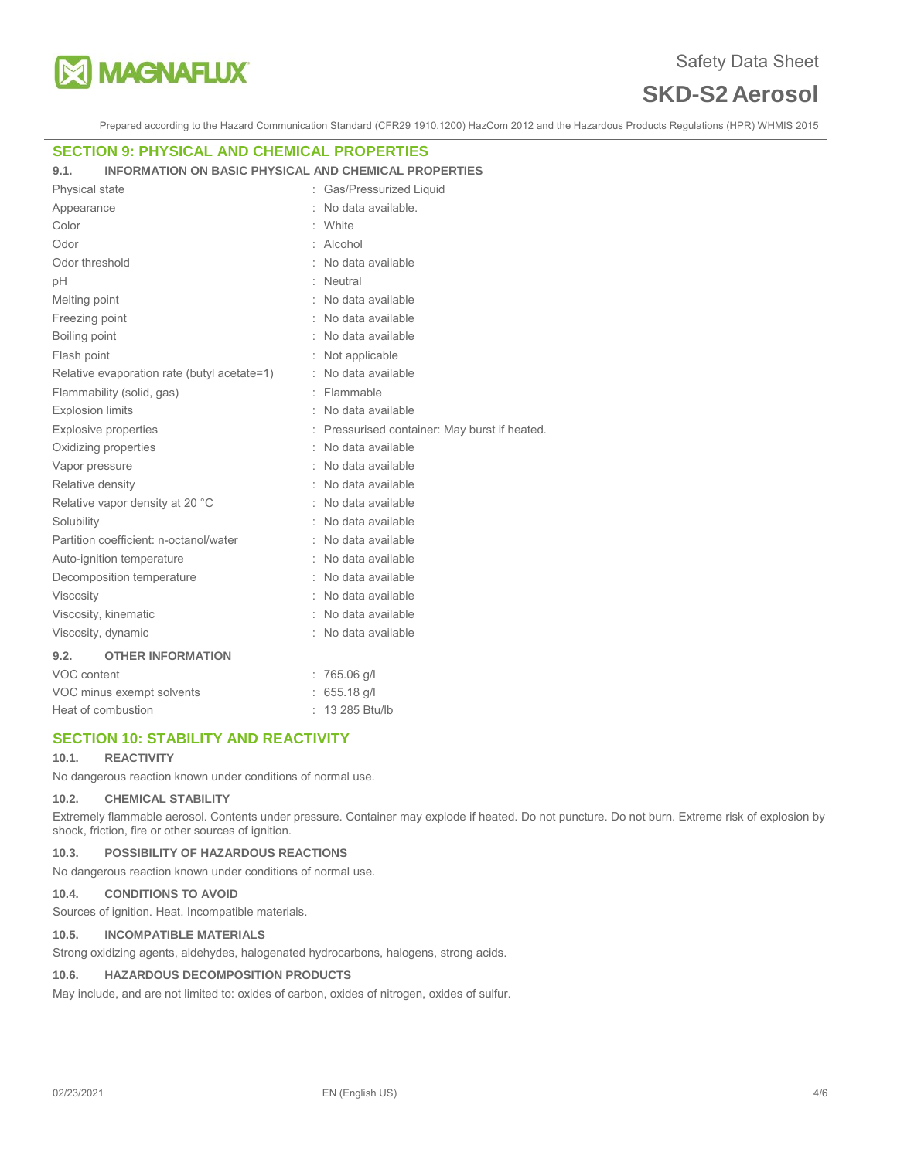

Prepared according to the Hazard Communication Standard (CFR29 1910.1200) HazCom 2012 and the Hazardous Products Regulations (HPR) WHMIS 2015

## **SECTION 9: PHYSICAL AND CHEMICAL PROPERTIES**

#### **9.1. INFORMATION ON BASIC PHYSICAL AND CHEMICAL PROPERTIES**

| <b>Physical state</b>                       | Gas/Pressurized Liquid                        |
|---------------------------------------------|-----------------------------------------------|
| Appearance                                  | No data available.                            |
| Color                                       | White                                         |
| Odor                                        | Alcohol                                       |
| Odor threshold                              | No data available                             |
| рH                                          | Neutral                                       |
| Melting point                               | No data available                             |
| Freezing point                              | No data available                             |
| Boiling point                               | : No data available                           |
| Flash point                                 | Not applicable                                |
| Relative evaporation rate (butyl acetate=1) | No data available                             |
| Flammability (solid, gas)                   | : Flammable                                   |
| <b>Explosion limits</b>                     | No data available                             |
| <b>Explosive properties</b>                 | : Pressurised container: May burst if heated. |
| Oxidizing properties                        | No data available                             |
| Vapor pressure                              | No data available                             |
| Relative density                            | No data available                             |
| Relative vapor density at 20 °C             | No data available                             |
| Solubility                                  | No data available                             |
| Partition coefficient: n-octanol/water      | No data available                             |
| Auto-ignition temperature                   | No data available                             |
| Decomposition temperature                   | No data available                             |
| Viscosity                                   | No data available                             |
| Viscosity, kinematic                        | No data available                             |
| Viscosity, dynamic                          | No data available                             |
| 9.2.<br><b>OTHER INFORMATION</b>            |                                               |
| VOC content                                 | $: 765.06$ g/l                                |
| VOC minus exempt solvents                   | 655.18 g/l                                    |
| Heat of combustion                          | 13 285 Btu/lb                                 |

## **SECTION 10: STABILITY AND REACTIVITY**

#### **10.1. REACTIVITY**

No dangerous reaction known under conditions of normal use.

#### **10.2. CHEMICAL STABILITY**

Extremely flammable aerosol. Contents under pressure. Container may explode if heated. Do not puncture. Do not burn. Extreme risk of explosion by shock, friction, fire or other sources of ignition.

#### **10.3. POSSIBILITY OF HAZARDOUS REACTIONS**

No dangerous reaction known under conditions of normal use.

## **10.4. CONDITIONS TO AVOID**

Sources of ignition. Heat. Incompatible materials.

#### **10.5. INCOMPATIBLE MATERIALS**

Strong oxidizing agents, aldehydes, halogenated hydrocarbons, halogens, strong acids.

## **10.6. HAZARDOUS DECOMPOSITION PRODUCTS**

May include, and are not limited to: oxides of carbon, oxides of nitrogen, oxides of sulfur.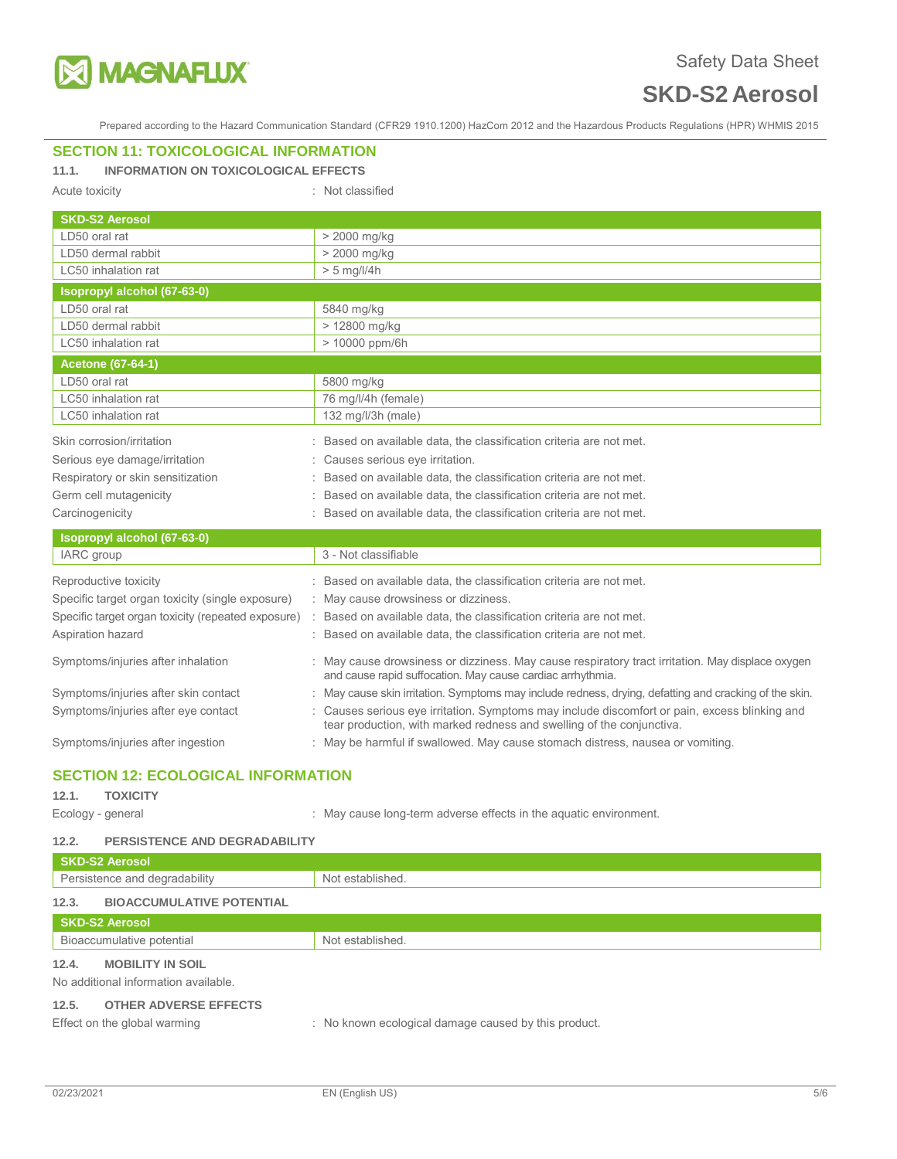

Prepared according to the Hazard Communication Standard (CFR29 1910.1200) HazCom 2012 and the Hazardous Products Regulations (HPR) WHMIS 2015

# **SECTION 11: TOXICOLOGICAL INFORMATION**

# **11.1. INFORMATION ON TOXICOLOGICAL EFFECTS**

Acute toxicity in the contract of the classified in the classified in the classified

| <b>SKD-S2 Aerosol</b>                              |                                                                                                                                                              |  |  |  |
|----------------------------------------------------|--------------------------------------------------------------------------------------------------------------------------------------------------------------|--|--|--|
| LD50 oral rat                                      | > 2000 mg/kg                                                                                                                                                 |  |  |  |
| LD50 dermal rabbit                                 | > 2000 mg/kg                                                                                                                                                 |  |  |  |
| LC50 inhalation rat                                | $> 5$ mg/l/4h                                                                                                                                                |  |  |  |
| Isopropyl alcohol (67-63-0)                        |                                                                                                                                                              |  |  |  |
| LD50 oral rat                                      | 5840 mg/kg                                                                                                                                                   |  |  |  |
| LD50 dermal rabbit                                 | > 12800 mg/kg                                                                                                                                                |  |  |  |
| LC50 inhalation rat                                | > 10000 ppm/6h                                                                                                                                               |  |  |  |
| <b>Acetone (67-64-1)</b>                           |                                                                                                                                                              |  |  |  |
| LD50 oral rat                                      | 5800 mg/kg                                                                                                                                                   |  |  |  |
| LC50 inhalation rat                                | 76 mg/l/4h (female)                                                                                                                                          |  |  |  |
| LC50 inhalation rat                                | 132 mg/l/3h (male)                                                                                                                                           |  |  |  |
| Skin corrosion/irritation                          | Based on available data, the classification criteria are not met.                                                                                            |  |  |  |
| Serious eye damage/irritation                      | : Causes serious eye irritation.                                                                                                                             |  |  |  |
| Respiratory or skin sensitization                  | Based on available data, the classification criteria are not met.                                                                                            |  |  |  |
| Germ cell mutagenicity                             | Based on available data, the classification criteria are not met.                                                                                            |  |  |  |
| Carcinogenicity                                    | Based on available data, the classification criteria are not met.                                                                                            |  |  |  |
| Isopropyl alcohol (67-63-0)                        |                                                                                                                                                              |  |  |  |
| IARC group                                         | 3 - Not classifiable                                                                                                                                         |  |  |  |
| Reproductive toxicity                              | Based on available data, the classification criteria are not met.                                                                                            |  |  |  |
| Specific target organ toxicity (single exposure)   | : May cause drowsiness or dizziness.                                                                                                                         |  |  |  |
| Specific target organ toxicity (repeated exposure) | Based on available data, the classification criteria are not met.                                                                                            |  |  |  |
| Aspiration hazard                                  | Based on available data, the classification criteria are not met.                                                                                            |  |  |  |
| Symptoms/injuries after inhalation                 | May cause drowsiness or dizziness. May cause respiratory tract irritation. May displace oxygen<br>and cause rapid suffocation. May cause cardiac arrhythmia. |  |  |  |
| Symptoms/injuries after skin contact               | : May cause skin irritation. Symptoms may include redness, drying, defatting and cracking of the skin.                                                       |  |  |  |

Symptoms/injuries after eye contact : Causes serious eye irritation. Symptoms may include discomfort or pain, excess blinking and

Symptoms/injuries after ingestion : May be harmful if swallowed. May cause stomach distress, nausea or vomiting.

# **SECTION 12: ECOLOGICAL INFORMATION**

# **12.1. TOXICITY**

Ecology - general **Ecology** - general  $\cdot$  May cause long-term adverse effects in the aquatic environment.

tear production, with marked redness and swelling of the conjunctiva.

#### **12.2. PERSISTENCE AND DEGRADABILITY**

| <b>SKD-S2 Aerosol</b>                     |                                                      |
|-------------------------------------------|------------------------------------------------------|
| Persistence and degradability             | Not established.                                     |
| 12.3.<br><b>BIOACCUMULATIVE POTENTIAL</b> |                                                      |
| <b>SKD-S2 Aerosol</b>                     |                                                      |
| Bioaccumulative potential                 | Not established.                                     |
| 12.4.<br><b>MOBILITY IN SOIL</b>          |                                                      |
| No additional information available.      |                                                      |
| 12.5.<br><b>OTHER ADVERSE EFFECTS</b>     |                                                      |
| Effect on the global warming              | : No known ecological damage caused by this product. |